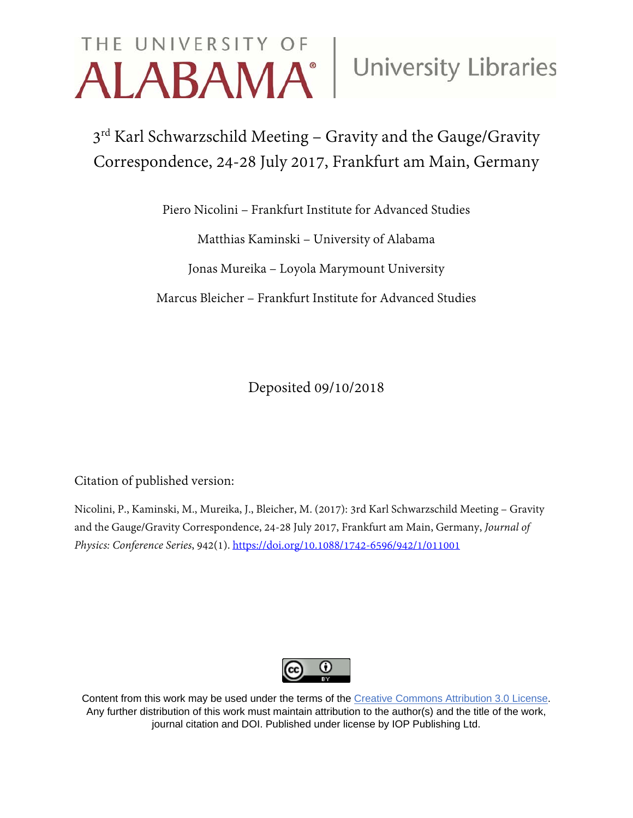# THE UNIVERSITY OF University Libraries

## 3<sup>rd</sup> Karl Schwarzschild Meeting – Gravity and the Gauge/Gravity Correspondence, 24-28 July 2017, Frankfurt am Main, Germany

Piero Nicolini – Frankfurt Institute for Advanced Studies

Matthias Kaminski – University of Alabama

Jonas Mureika – Loyola Marymount University

Marcus Bleicher – Frankfurt Institute for Advanced Studies

Deposited 09/10/2018

Citation of published version:

Nicolini, P., Kaminski, M., Mureika, J., Bleicher, M. (2017): 3rd Karl Schwarzschild Meeting – Gravity and the Gauge/Gravity Correspondence, 24-28 July 2017, Frankfurt am Main, Germany, *Journal of Physics: Conference Series*, 942(1).<https://doi.org/10.1088/1742-6596/942/1/011001>



Content from this work may be used under the terms of the [Creative Commons Attribution 3.0 License.](http://creativecommons.org/licenses/by/3.0) Any further distribution of this work must maintain attribution to the author(s) and the title of the work, journal citation and DOI. Published under license by IOP Publishing Ltd.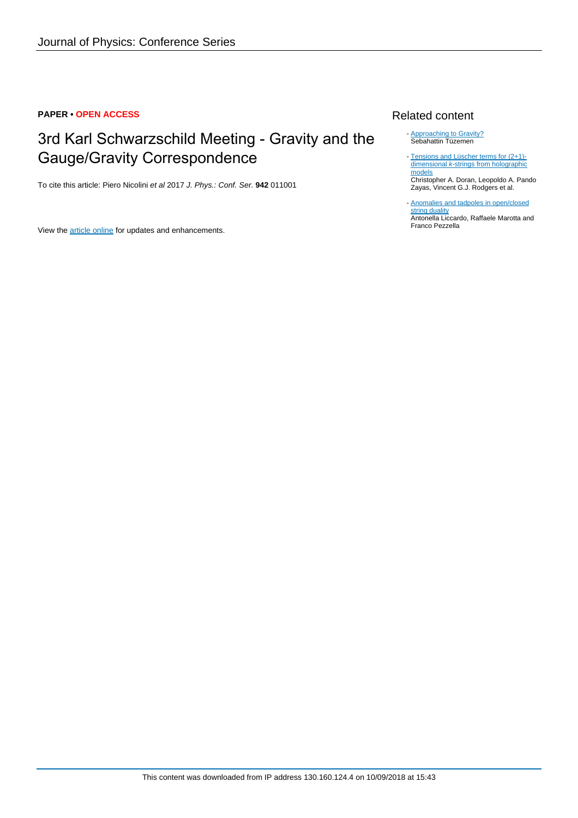#### **PAPER • OPEN ACCESS**

### 3rd Karl Schwarzschild Meeting - Gravity and the Gauge/Gravity Correspondence

To cite this article: Piero Nicolini et al 2017 J. Phys.: Conf. Ser. **942** 011001

View the [article online](https://doi.org/10.1088/1742-6596/942/1/011001) for updates and enhancements.

#### Related content

- [Approaching to Gravity?](http://iopscience.iop.org/article/10.1088/1742-6596/707/1/012003) Sebahattin Tüzemen

- [Tensions and Lüscher terms for \(2+1\)](http://iopscience.iop.org/article/10.1088/1126-6708/2009/11/064) [dimensional](http://iopscience.iop.org/article/10.1088/1126-6708/2009/11/064) k[-strings from holographic](http://iopscience.iop.org/article/10.1088/1126-6708/2009/11/064) [models](http://iopscience.iop.org/article/10.1088/1126-6708/2009/11/064)

Christopher A. Doran, Leopoldo A. Pando Zayas, Vincent G.J. Rodgers et al.

[Anomalies and tadpoles in open/closed](http://iopscience.iop.org/article/10.1088/0264-9381/21/10/015) [string duality](http://iopscience.iop.org/article/10.1088/0264-9381/21/10/015) **Antonella Liccardo, Raffaele Marotta and** Franco Pezzella -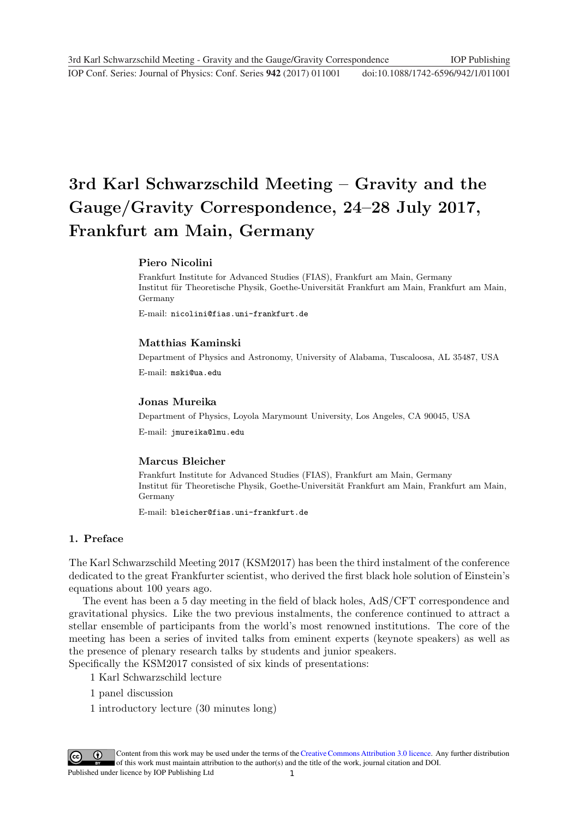## **3rd Karl Schwarzschild Meeting – Gravity and the Gauge/Gravity Correspondence, 24–28 July 2017, Frankfurt am Main, Germany**

#### **Piero Nicolini**

Frankfurt Institute for Advanced Studies (FIAS), Frankfurt am Main, Germany Institut für Theoretische Physik, Goethe-Universität Frankfurt am Main, Frankfurt am Main, Germany

E-mail: nicolini@fias.uni-frankfurt.de

#### **Matthias Kaminski**

Department of Physics and Astronomy, University of Alabama, Tuscaloosa, AL 35487, USA E-mail: mski@ua.edu

#### **Jonas Mureika**

Department of Physics, Loyola Marymount University, Los Angeles, CA 90045, USA

E-mail: jmureika@lmu.edu

#### **Marcus Bleicher**

Frankfurt Institute for Advanced Studies (FIAS), Frankfurt am Main, Germany Institut für Theoretische Physik, Goethe-Universität Frankfurt am Main, Frankfurt am Main, Germany

E-mail: bleicher@fias.uni-frankfurt.de

#### **1. Preface**

The Karl Schwarzschild Meeting 2017 (KSM2017) has been the third instalment of the conference dedicated to the great Frankfurter scientist, who derived the first black hole solution of Einstein's equations about 100 years ago.

The event has been a 5 day meeting in the field of black holes, AdS/CFT correspondence and gravitational physics. Like the two previous instalments, the conference continued to attract a stellar ensemble of participants from the world's most renowned institutions. The core of the meeting has been a series of invited talks from eminent experts (keynote speakers) as well as the presence of plenary research talks by students and junior speakers.

Specifically the KSM2017 consisted of six kinds of presentations:

1 Karl Schwarzschild lecture

- 1 panel discussion
- 1 introductory lecture (30 minutes long)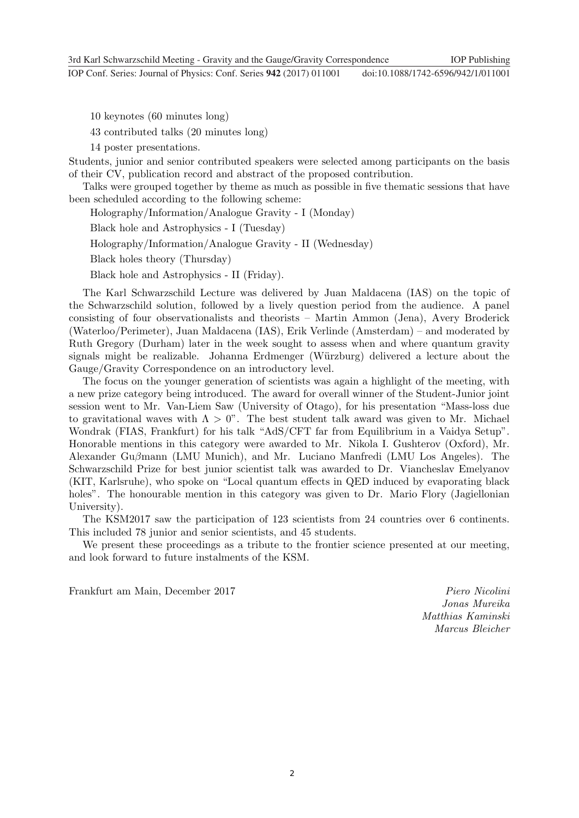3rd Karl Schwarzschild Meeting - Gravity and the Gauge/Gravity Correspondence IOP Publishing

**1234567890** IOP Conf. Series: Journal of Physics: Conf. Series **942** (2017) 011001 doi :10.1088/1742-6596/942/1/011001

10 keynotes (60 minutes long)

43 contributed talks (20 minutes long)

14 poster presentations.

Students, junior and senior contributed speakers were selected among participants on the basis of their CV, publication record and abstract of the proposed contribution.

Talks were grouped together by theme as much as possible in five thematic sessions that have been scheduled according to the following scheme:

Holography/Information/Analogue Gravity - I (Monday)

Black hole and Astrophysics - I (Tuesday)

Holography/Information/Analogue Gravity - II (Wednesday)

Black holes theory (Thursday)

Black hole and Astrophysics - II (Friday).

The Karl Schwarzschild Lecture was delivered by Juan Maldacena (IAS) on the topic of the Schwarzschild solution, followed by a lively question period from the audience. A panel consisting of four observationalists and theorists – Martin Ammon (Jena), Avery Broderick (Waterloo/Perimeter), Juan Maldacena (IAS), Erik Verlinde (Amsterdam) – and moderated by Ruth Gregory (Durham) later in the week sought to assess when and where quantum gravity signals might be realizable. Johanna Erdmenger (Würzburg) delivered a lecture about the Gauge/Gravity Correspondence on an introductory level.

The focus on the younger generation of scientists was again a highlight of the meeting, with a new prize category being introduced. The award for overall winner of the Student-Junior joint session went to Mr. Van-Liem Saw (University of Otago), for his presentation "Mass-loss due to gravitational waves with  $\Lambda > 0$ ". The best student talk award was given to Mr. Michael Wondrak (FIAS, Frankfurt) for his talk "AdS/CFT far from Equilibrium in a Vaidya Setup". Honorable mentions in this category were awarded to Mr. Nikola I. Gushterov (Oxford), Mr. Alexander Guβmann (LMU Munich), and Mr. Luciano Manfredi (LMU Los Angeles). The Schwarzschild Prize for best junior scientist talk was awarded to Dr. Viancheslav Emelyanov (KIT, Karlsruhe), who spoke on "Local quantum effects in QED induced by evaporating black holes". The honourable mention in this category was given to Dr. Mario Flory (Jagiellonian University).

The KSM2017 saw the participation of 123 scientists from 24 countries over 6 continents. This included 78 junior and senior scientists, and 45 students.

We present these proceedings as a tribute to the frontier science presented at our meeting, and look forward to future instalments of the KSM.

Frankfurt am Main, December 2017 **Piero Nicolini** Piero Nicolini

Jonas Mureika Matthias Kaminski Marcus Bleicher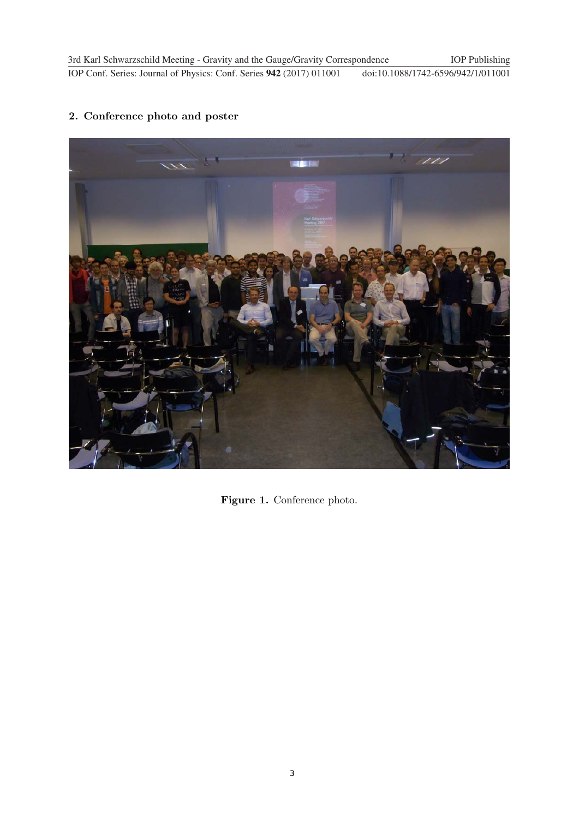

#### **2. Conference photo and poster**

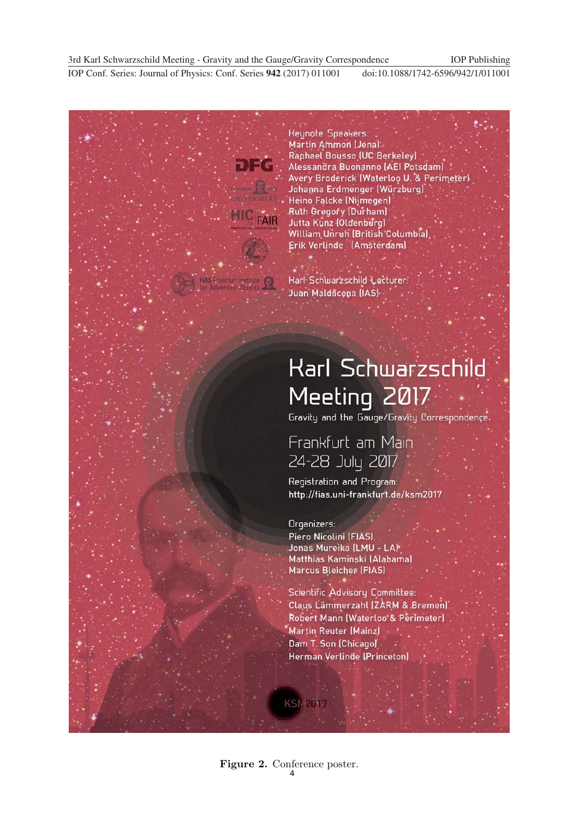• • • **•• 4** 

 $\cdot$  ,  $\cdot$  .

. *.· :* . · ... . ·:·:· .... · .. . ,.

• .. \_ .. . .. . .. ... .· . . . . . . : ..

 $\bullet$  .

,, . -... . .. . . . . ..

.. . . . ·: .. . *:* . . *:* ~ .

· ......

'~. . *:* . ' ~ .\_. •.. ,.  $\mathcal{C} \in \mathbb{R}^n$ 

 $\cdot$  .  $\cdot$ :- · ...

- .... *:* . \

. . : \*'•:. '. .

. *:* :,. *.·:* .. . . . ~· - · · . Hey note Speakers: .. •. · *- .:* .. • . . · · . · · · Martin Ainmor1 !Jena]:, . . •. .. . • Raphael Bousso (UC Berkeley) Alessandra Buonanno (AEI Potsdam) Avery Broderick (Waterloo U. & Perimeter) Jotia n.na Erdmeriger (Wu\_rzb\_u.rgf · .. *\_:\_.* .· .. *:·* .' Heino Falcke (Nijmegen) Ruth Gregory (Durham) Jutta Kunz ·(0ld'enb'tir~l ·. ·. ·. ·. · .. *,·: ,:*  .<br>William Unruh (British Columbia)<br>Erik Verlinde (Amsterdam)  $Erik Verlinde [Amsterdam]$ 

Harl<sup>.</sup> Schwarzschild Lecturer: .. . •. • . :Ju~,;-Maldac~tia [IAS)-: . . • ~ : . .. : . ' - ·: . . . . . . .. . . "• . . .. • . . . . .,. "'  $\mathbf{e} = \begin{pmatrix} 1 & 0 & 0 & 0 \\ 0 & 0 & 0 & 0 \\ 0 & 0 & 0 & 0 \\ 0 & 0 & 0 & 0 \\ 0 & 0 & 0 & 0 \\ 0 & 0 & 0 & 0 \\ 0 & 0 & 0 & 0 \\ 0 & 0 & 0 & 0 \\ 0 & 0 & 0 & 0 \\ 0 & 0 & 0 & 0 \\ 0 & 0 & 0 & 0 & 0 \\ 0 & 0 & 0 & 0 & 0 \\ 0 & 0 & 0 & 0 & 0 \\ 0 & 0 & 0 & 0 & 0 \\ 0 & 0 & 0 & 0 & 0 & 0 \\ 0 & 0 & 0 &$ 

## $H$ arl Schwarzschild **Meeting 2017**

Gravity and the Gauge/Gravity Correspondence.

Frankfurt am Main 24-28 July 2017<br>Registration and Program:

http://fias.uni-frankfurt.de/ksm2017

**Organizers:** · • Piero Nicolini (FIASI. .Jonas Mureika (LMU - LAI• Matthias Kaminski (Alabama) **Marcus Bleicher (FIAS)** 

Scientific Advisory Committee: Claus Lämmerzahl (ZARM & Bremen). . Robert Mann (Waterloo<sup>.</sup>& Perimeter)<br>Martin Reuter (Mainz) Dam T. Son (Chicago) Herman Verlinde (Princeton)

**KSN-2017**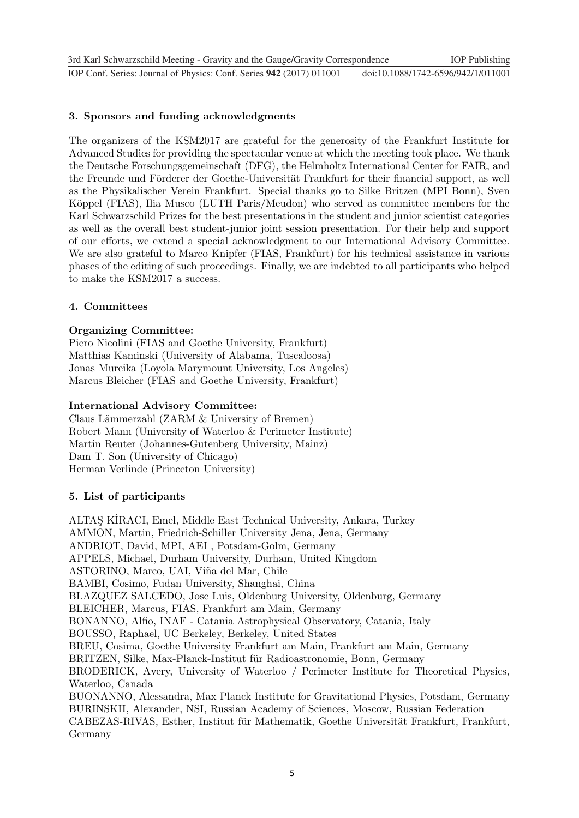#### **3. Sponsors and funding acknowledgments**

The organizers of the KSM2017 are grateful for the generosity of the Frankfurt Institute for Advanced Studies for providing the spectacular venue at which the meeting took place. We thank the Deutsche Forschungsgemeinschaft (DFG), the Helmholtz International Center for FAIR, and the Freunde und Förderer der Goethe-Universität Frankfurt for their financial support, as well as the Physikalischer Verein Frankfurt. Special thanks go to Silke Britzen (MPI Bonn), Sven Köppel (FIAS), Ilia Musco (LUTH Paris/Meudon) who served as committee members for the Karl Schwarzschild Prizes for the best presentations in the student and junior scientist categories as well as the overall best student-junior joint session presentation. For their help and support of our efforts, we extend a special acknowledgment to our International Advisory Committee. We are also grateful to Marco Knipfer (FIAS, Frankfurt) for his technical assistance in various phases of the editing of such proceedings. Finally, we are indebted to all participants who helped to make the KSM2017 a success.

#### **4. Committees**

#### **Organizing Committee:**

Piero Nicolini (FIAS and Goethe University, Frankfurt) Matthias Kaminski (University of Alabama, Tuscaloosa) Jonas Mureika (Loyola Marymount University, Los Angeles) Marcus Bleicher (FIAS and Goethe University, Frankfurt)

#### **International Advisory Committee:**

Claus Lämmerzahl (ZARM & University of Bremen) Robert Mann (University of Waterloo & Perimeter Institute) Martin Reuter (Johannes-Gutenberg University, Mainz) Dam T. Son (University of Chicago) Herman Verlinde (Princeton University)

#### **5. List of participants**

ALTAS¸ K˙ IRACI, Emel, Middle East Technical University, Ankara, Turkey AMMON, Martin, Friedrich-Schiller University Jena, Jena, Germany ANDRIOT, David, MPI, AEI , Potsdam-Golm, Germany APPELS, Michael, Durham University, Durham, United Kingdom ASTORINO, Marco, UAI, Viña del Mar, Chile BAMBI, Cosimo, Fudan University, Shanghai, China BLAZQUEZ SALCEDO, Jose Luis, Oldenburg University, Oldenburg, Germany BLEICHER, Marcus, FIAS, Frankfurt am Main, Germany BONANNO, Alfio, INAF - Catania Astrophysical Observatory, Catania, Italy BOUSSO, Raphael, UC Berkeley, Berkeley, United States BREU, Cosima, Goethe University Frankfurt am Main, Frankfurt am Main, Germany BRITZEN, Silke, Max-Planck-Institut für Radioastronomie, Bonn, Germany BRODERICK, Avery, University of Waterloo / Perimeter Institute for Theoretical Physics, Waterloo, Canada BUONANNO, Alessandra, Max Planck Institute for Gravitational Physics, Potsdam, Germany BURINSKII, Alexander, NSI, Russian Academy of Sciences, Moscow, Russian Federation CABEZAS-RIVAS, Esther, Institut für Mathematik, Goethe Universität Frankfurt, Frankfurt, Germany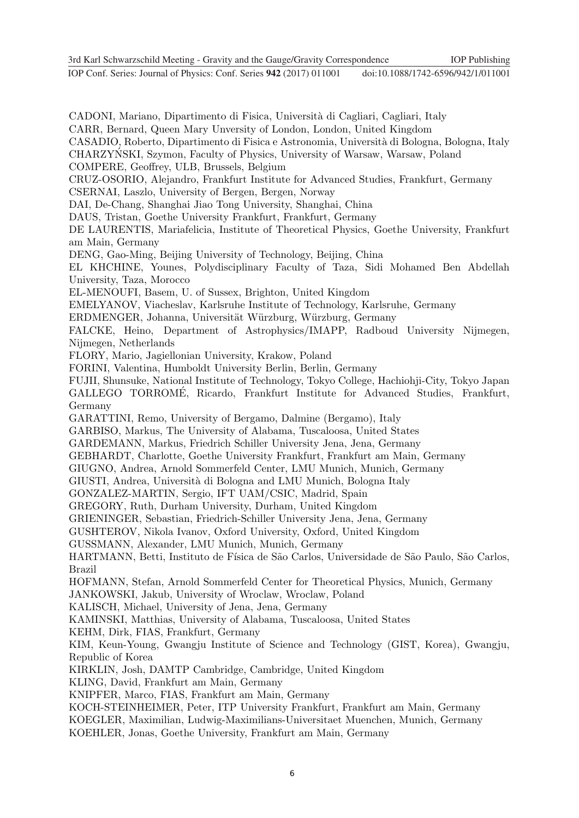CADONI, Mariano, Dipartimento di Fisica, Universit`a di Cagliari, Cagliari, Italy CARR, Bernard, Queen Mary Unversity of London, London, United Kingdom CASADIO, Roberto, Dipartimento di Fisica e Astronomia, Universit`a di Bologna, Bologna, Italy CHARZYNSKI, Szymon, Faculty of Physics, University of Warsaw, Warsaw, Poland ´ COMPERE, Geoffrey, ULB, Brussels, Belgium CRUZ-OSORIO, Alejandro, Frankfurt Institute for Advanced Studies, Frankfurt, Germany CSERNAI, Laszlo, University of Bergen, Bergen, Norway DAI, De-Chang, Shanghai Jiao Tong University, Shanghai, China DAUS, Tristan, Goethe University Frankfurt, Frankfurt, Germany DE LAURENTIS, Mariafelicia, Institute of Theoretical Physics, Goethe University, Frankfurt am Main, Germany DENG, Gao-Ming, Beijing University of Technology, Beijing, China EL KHCHINE, Younes, Polydisciplinary Faculty of Taza, Sidi Mohamed Ben Abdellah University, Taza, Morocco EL-MENOUFI, Basem, U. of Sussex, Brighton, United Kingdom EMELYANOV, Viacheslav, Karlsruhe Institute of Technology, Karlsruhe, Germany ERDMENGER, Johanna, Universität Würzburg, Würzburg, Germany FALCKE, Heino, Department of Astrophysics/IMAPP, Radboud University Nijmegen, Nijmegen, Netherlands FLORY, Mario, Jagiellonian University, Krakow, Poland FORINI, Valentina, Humboldt University Berlin, Berlin, Germany FUJII, Shunsuke, National Institute of Technology, Tokyo College, Hachiohji-City, Tokyo Japan GALLEGO TORROME, Ricardo, Frankfurt Institute for Advanced Studies, Frankfurt, ´ Germany GARATTINI, Remo, University of Bergamo, Dalmine (Bergamo), Italy GARBISO, Markus, The University of Alabama, Tuscaloosa, United States GARDEMANN, Markus, Friedrich Schiller University Jena, Jena, Germany GEBHARDT, Charlotte, Goethe University Frankfurt, Frankfurt am Main, Germany GIUGNO, Andrea, Arnold Sommerfeld Center, LMU Munich, Munich, Germany GIUSTI, Andrea, Universit`a di Bologna and LMU Munich, Bologna Italy GONZALEZ-MARTIN, Sergio, IFT UAM/CSIC, Madrid, Spain GREGORY, Ruth, Durham University, Durham, United Kingdom GRIENINGER, Sebastian, Friedrich-Schiller University Jena, Jena, Germany GUSHTEROV, Nikola Ivanov, Oxford University, Oxford, United Kingdom GUSSMANN, Alexander, LMU Munich, Munich, Germany HARTMANN, Betti, Instituto de Física de São Carlos, Universidade de São Paulo, São Carlos, Brazil HOFMANN, Stefan, Arnold Sommerfeld Center for Theoretical Physics, Munich, Germany JANKOWSKI, Jakub, University of Wroclaw, Wroclaw, Poland KALISCH, Michael, University of Jena, Jena, Germany KAMINSKI, Matthias, University of Alabama, Tuscaloosa, United States KEHM, Dirk, FIAS, Frankfurt, Germany KIM, Keun-Young, Gwangju Institute of Science and Technology (GIST, Korea), Gwangju, Republic of Korea KIRKLIN, Josh, DAMTP Cambridge, Cambridge, United Kingdom KLING, David, Frankfurt am Main, Germany KNIPFER, Marco, FIAS, Frankfurt am Main, Germany KOCH-STEINHEIMER, Peter, ITP University Frankfurt, Frankfurt am Main, Germany KOEGLER, Maximilian, Ludwig-Maximilians-Universitaet Muenchen, Munich, Germany

KOEHLER, Jonas, Goethe University, Frankfurt am Main, Germany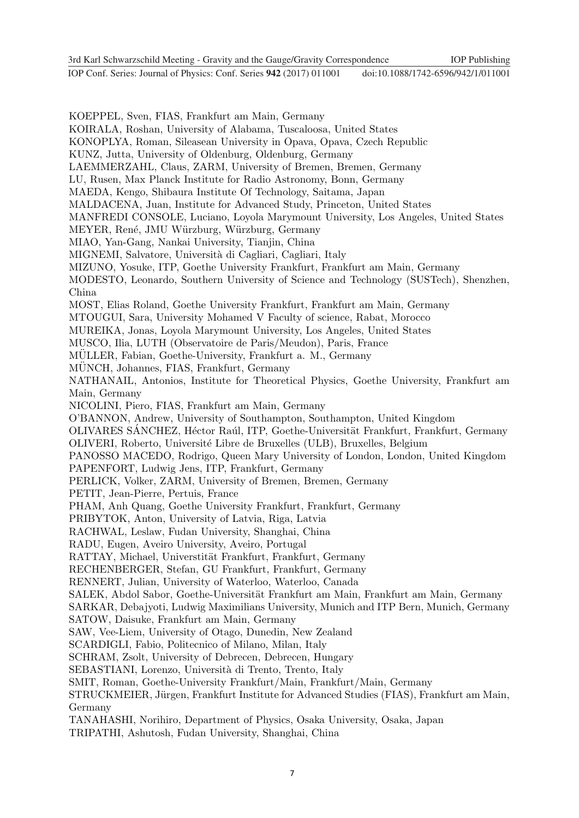KOEPPEL, Sven, FIAS, Frankfurt am Main, Germany KOIRALA, Roshan, University of Alabama, Tuscaloosa, United States KONOPLYA, Roman, Sileasean University in Opava, Opava, Czech Republic KUNZ, Jutta, University of Oldenburg, Oldenburg, Germany LAEMMERZAHL, Claus, ZARM, University of Bremen, Bremen, Germany LU, Rusen, Max Planck Institute for Radio Astronomy, Bonn, Germany MAEDA, Kengo, Shibaura Institute Of Technology, Saitama, Japan MALDACENA, Juan, Institute for Advanced Study, Princeton, United States MANFREDI CONSOLE, Luciano, Loyola Marymount University, Los Angeles, United States MEYER, René, JMU Würzburg, Würzburg, Germany MIAO, Yan-Gang, Nankai University, Tianjin, China MIGNEMI, Salvatore, Università di Cagliari, Cagliari, Italy MIZUNO, Yosuke, ITP, Goethe University Frankfurt, Frankfurt am Main, Germany MODESTO, Leonardo, Southern University of Science and Technology (SUSTech), Shenzhen, China MOST, Elias Roland, Goethe University Frankfurt, Frankfurt am Main, Germany MTOUGUI, Sara, University Mohamed V Faculty of science, Rabat, Morocco MUREIKA, Jonas, Loyola Marymount University, Los Angeles, United States MUSCO, Ilia, LUTH (Observatoire de Paris/Meudon), Paris, France MÜLLER, Fabian, Goethe-University, Frankfurt a. M., Germany MÜNCH, Johannes, FIAS, Frankfurt, Germany NATHANAIL, Antonios, Institute for Theoretical Physics, Goethe University, Frankfurt am Main, Germany NICOLINI, Piero, FIAS, Frankfurt am Main, Germany O'BANNON, Andrew, University of Southampton, Southampton, United Kingdom OLIVARES SÁNCHEZ, Héctor Raúl, ITP, Goethe-Universität Frankfurt, Frankfurt, Germany OLIVERI, Roberto, Universit´e Libre de Bruxelles (ULB), Bruxelles, Belgium PANOSSO MACEDO, Rodrigo, Queen Mary University of London, London, United Kingdom PAPENFORT, Ludwig Jens, ITP, Frankfurt, Germany PERLICK, Volker, ZARM, University of Bremen, Bremen, Germany PETIT, Jean-Pierre, Pertuis, France PHAM, Anh Quang, Goethe University Frankfurt, Frankfurt, Germany PRIBYTOK, Anton, University of Latvia, Riga, Latvia RACHWAL, Leslaw, Fudan University, Shanghai, China RADU, Eugen, Aveiro University, Aveiro, Portugal RATTAY, Michael, Universtität Frankfurt, Frankfurt, Germany RECHENBERGER, Stefan, GU Frankfurt, Frankfurt, Germany RENNERT, Julian, University of Waterloo, Waterloo, Canada SALEK, Abdol Sabor, Goethe-Universität Frankfurt am Main, Frankfurt am Main, Germany SARKAR, Debajyoti, Ludwig Maximilians University, Munich and ITP Bern, Munich, Germany SATOW, Daisuke, Frankfurt am Main, Germany SAW, Vee-Liem, University of Otago, Dunedin, New Zealand SCARDIGLI, Fabio, Politecnico of Milano, Milan, Italy SCHRAM, Zsolt, University of Debrecen, Debrecen, Hungary SEBASTIANI, Lorenzo, Università di Trento, Trento, Italy SMIT, Roman, Goethe-University Frankfurt/Main, Frankfurt/Main, Germany STRUCKMEIER, Jürgen, Frankfurt Institute for Advanced Studies (FIAS), Frankfurt am Main, Germany TANAHASHI, Norihiro, Department of Physics, Osaka University, Osaka, Japan

TRIPATHI, Ashutosh, Fudan University, Shanghai, China